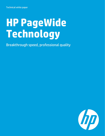# **HP PageWide Technology**

Breakthrough speed, professional quality

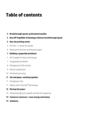# **Table of contents**

# **4 Breakthrough speed, professional quality**

## **5 How HP PageWide Technology achieves breakthrough speed**

- **5 How ink printing works**
- 5 HP inks—a recipe for quality
- 6 Moving the ink from printhead to paper

# **7 Building a pagewide printhead**

- 7 HP Scalable Printing Technology
- 7 A pagewide printhead
- 8 Managing 42,240 nozzles
- 9 Nozzle substitution
- 10 Printhead servicing

## **11 Ink and paper, working together**

- 11 HP pigment inks
- 11 Papers with ColorLok® Technology
- **12 Moving the paper**
- 14 Achieving high print speeds and fast first page out
- **14 Conserve resources—save energy and money**
- **14 Summary**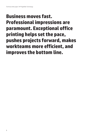# **Business moves fast. Professional impressions are paramount. Exceptional office printing helps set the pace, pushes projects forward, makes workteams more efficient, and improves the bottom line.**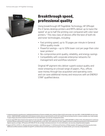

# **Breakthrough speed, professional quality**

Using breakthrough HP PageWide Technology, HP Officejet Pro X Series desktop printers and MFPs deliver up to twice the speed<sup>1</sup> at up to half the printing cost compared with color laser printers.2 This new class of devices offer the best of both ink and toner technologies, including:

- Fast printing speed, up to 70 pages per minute in General Office quality mode
- Powerful savings—up to 50% lower cost per page than color laser printers<sup>2</sup>
- No-compromise print quality, reliability, and energy savings
- Compatibility with corporate enterprise networks for management and workflow solutions<sup>3</sup>

Original HP pigment inks deliver superb output quality and resist smearing on a broad range of papers. Plus, offices save money through low acquisition and operating costs and can save additional money and resources with an ENERGY STAR® qualified device.

- 1 Comparison based on manufacturers' published specifications of fastest available color mode (as of March 2012) and includes color laser MFPs <\$1000 USD MSRP and color laser printers <\$800 USD MSRP available March 2012 based on market share as reported by IDC as of Q1 2012 and HP internal testing of printer in fastest available color mode (sample 4-page category documents tested from ISO 24734). For more information, see www.hp.com/go/printerclaims.
- 2 Cost per page (CPP) claim is based on the majority of color laser MFPs <\$1000 USD MSRP and color laser printers <\$800 USD MSRP as of March 2012, ISO yield based on continuous printing in default mode based on market share as reported by IDC as of Q1 2012. CPP comparisons for laser supplies are based on published specifications of the manufacturers' highest capacity cartridges. CPP based on HP 970XL/971XL ink cartridges estimated street price. For more information, see www.hp.com/go/learnaboutsupplies.
- 3 Supports HP PCL 6, HP PCL 5c, HP postscript level 3 emulation, native PDF printing (v 1.7), HP Universal Print Driver, HP Web Jetadmin, HP Imaging and Printing Security Center. Additional workflow solutions available through HP's certified software and third-party partner program. For solution details, go to www.hp.com/go/ideabook.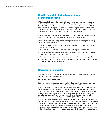# **How HP PageWide Technology achieves breakthrough speed**

HP PageWide Technology takes proven, advanced commercial printing technologies and scales them to a new class of multifunction printers designed to serve small workteams. More than 40 thousand tiny nozzles on a stationary printhead that spans the width of a page deliver four colors of Original HP pigment ink onto a moving sheet of paper. Because the paper moves and the printhead doesn't, HP Officejet Pro X Series printers are quiet and dependable offering laser-fast print speeds and a rapid first page out.

The HP Officejet Pro X Series comes standard with built-in duplex printing capability, two input trays, and copy, scan, and fax functionality on multifunction models.

The key elements of the HP PageWide Technology platform producing high print quality, speed, and reliability include:

- A pagewide array of 42,240 nozzles that produce ink drops with uniform drop weight, speed, and trajectory
- 1,200 nozzles-per-inch native resolution for consistently high print quality
- HP Pigment Inks that provide controlled ink-paper interactions, high color saturation, dark, sharp, and crisp text, and rapid drying
- Precise control of paper motion for dependable print quality and reliable operation
- Automatic nozzle health sensing, active and passive nozzle substitution, and automatic printhead servicing for dependable print quality

# **How ink printing works**

The basic elements of ink-based digital printing are colorants, the process for transferring colorant to the paper, and office papers.

#### **HP inks—a recipe for quality**

Colorants form the image on paper by reflecting light at specific wavelengths to produce distinct colors. Colorants can be made of dyes, pigments, or a mixture of both.

Dyes are composed of individual molecules, whereas pigments are tiny colored particles whose diameter is about a wavelength of visible light. Both can produce bright, colorful images. However, pigments offer superior color saturation, black density, fade resistance, and smear resistance (for example, from water and highlighters) on office papers and coated brochure papers. These attributes make pigments the colorant of choice for HP LaserJet toners and for the HP inks used in HP Officejet Pro X Series printers.

In order to produce colorful graphics and images along with sharp, crisp lines and text, the colorant must remain at or very near the paper surface. If colorant moves across the surface or penetrates too deeply into the sheet, then lines and text won't be sharp, blacks won't be dark, and colors won't be vivid. To achieve high print quality, colorants must rapidly immobilize in a thin surface layer immediately after they reach the paper—a primary factor in the high quality produced by HP LaserJet printers and HP Officejet Pro X Series printers.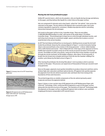#### **Moving the ink from printhead to paper**

Unlike HP LaserJet toners, which are dry powders, inks are liquids during storage and delivery to the paper, and they behave like liquids for a short time on the paper surface.

Inks are composed of colorants and a clear liquid, called the "ink vehicle", that carries the colorants to the paper. The ink vehicle in HP pigment inks is primarily water, but it also contains ingredients required for consistent, reliable drop ejection and for controlling interactions between the ink and paper.

Ink travels to the paper surface in tiny, 6 picoliter drops. There are one trillion (1,000,000,000,000) picoliters in a liter, and a gram of ink yields about 170 million 6 picoliter drops. The printhead ejects drops one at a time through individual nozzles, and each drop must emerge at a consistent weight, speed, and direction to place a correctsized ink dot in the correct location.

An HP Thermal Inkjet printhead has no moving parts. Nothing moves except the ink itself. Inside the printhead, shown by the cutaway diagram in Figure 1, an electrical pulse lasting about a microsecond heats a tiny resistor in the drop generator—a three-sided chamber with a refill channel and nozzle—that is filled with ink. A thin layer of ink vaporizes to form a bubble that expands to propel a drop out of the nozzle at around 10 meters (33 feet) per second. The bubble acts like a tiny piston, rising out of the floor of the chamber to push ink through the nozzle overhead. As the bubble collapses, after about 10 microseconds, it breaks the ink stream into a droplet and draws fresh ink into the chamber refilling it for another cycle (shown by the black arrow in Figure 1).

After leaving the printhead, the ink drop flies about 1 mm to produce a dot in a precise location on the paper. This process can repeat tens of thousands of times per second in each drop generator.

Once on the paper, pigments must quickly immobilize to produce sharp text and lines and to achieve high color saturation and black optical density. HP pigment inks quickly separate the pigments from the ink vehicle to prevent color and black inks from mixing at the boundaries of lines and characters.

The printed image dries as volatile components of the ink vehicle (primarily water) evaporate and leave the pigments behind.

Figure 2 shows a cross-section view of HP pigment ink on HP Multipurpose Paper with ColorLok® Technology. A thin, conformal film of pigments is seen on the paper surface along with the internal structure of the paper. The chemistry of ColorLok® Technology holds the pigments at the paper surface, enabling HP pigment inks to deliver color and black imaging performance comparable to HP LaserJet toners.



**Figure 1:** Cutaway view of an SPT-based drop generator



**Figure 2:** HP pigment ink on HP Multipurpose Paper with ColorLok® Technology (Image source: HP)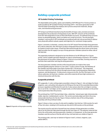# **Building a pagewide printhead**

#### **HP Scalable Printing Technology**

The dependable print quality, speed, and reliability of HP Officejet Pro X Series printers is made possible by HP Scalable Printing Technology (SPT)—the latest generation of HP Thermal Inkjet technology that employs ultra-precise and proven materials, design rules, and manufacturing processes.

SPT brings to printhead manufacturing the benefits of large-scale, precision processes developed for the production of integrated circuits. With SPT, all parts of the printhead, from thin-film integrated circuits to thick-film fluidic structures, are defined using a process known as photolithography, which can define very small structures. The ink passages, chambers, and nozzles in SPT printheads are produced with sub-micron precision to deliver every drop with uniform volume, speed, and trajectory for consistent image quality.

Figure 1 presents a schematic, cutaway view of an SPT-based Thermal Inkjet drop generator. On a silicon substrate, thin-film layers produce integrated electronic circuits and the resistors (or heaters) used to eject drops. A feed slot fabricated through the silicon (seen at the lower right) provides the ink supply to arrays of drop generator chambers placed on either side of the feed slot.

The pagewide printhead is designed to last the lifetime of an HP Officejet Pro X Series printer, and its reliable operation depends on robust contamination resistance. SPT enables the placement of tiny pillars (shown in Figure 1) that act as an ink filter, forming a barrier to particles that could enter and clog the drop generators.

The drop generator chamber and the orifice (nozzle) plate are made of the same photoimageable polymer (shown in a tan color). To give a sense of scale, the thickness of the chamber and orifice plate is less than a human hair (~50 microns). This integrated structure is built up from the silicon through several steps involving polymer deposition, exposure, and development. To help ensure a long service life, the thin-film layers on the silicon substrate, ink feed slot, chamber, and orifice material all have high resistance to chemical interaction with the inks.

#### **A pagewide printhead**

HP's pagewide, 4-color writing engine assembly is shown in Figure 3. Ink cartridges for black, magenta, cyan, and yellow inks plug into ink fittings at the top of this assembly that provides pressure regulation and filtration for each ink. It also senses when the cartridge is running low or out of ink. Cartridges can be changed easily: an informational animation on the printer control panel describes this process.

The printhead has 10 HP Thermal Inkjet chips, called dies,<sup>4</sup> placed upon rigid, dimensionally stable, injection-molded plastic carriers. The carriers precisely align each die in the array and provide interfaces for the ink. Figure 4 shows a bottom view of the writing engine assembly with the printhead visible.

Figure 5 shows a close-up view of a die and its neighbor. Each die has 1,056 nozzles for each of four ink colors, totaling 4,224 nozzles per die and 42,240 nozzles on the printhead.

The nozzle array for each ink is formed from two columns of drop generators on either side of an ink feed slot fabricated through the die (see Figure 5). The polymer material that forms the orifice plate and drop generator chambers is transparent, so the drop generator chambers and the surface of the die with its four-ink feed slots are visible in Figure 5.

The printing order, seen top-to-bottom in Figures 4 and 5, is black, magenta, cyan, yellow (KMCY).



**Figure 3:** Pagewide writing engine assembly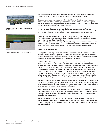

**Figure 4:** Pagewide writing engine assembly, bottom view



**Figure 5:** Detail of an HP Thermal Inkjet die

Figures 4 and 5 show the stainless steel shroud that seals around the dies. The shroud provides a flat surface for the service station to cap and wipe the printhead.

Electrical connections are made by bonding a flexible circuit to interconnect pads on the sides of each die. These bonds are protected by the (blue) bead of epoxy seen in Figure 5. The flexible circuit carries signals and power between each die and a printed circuit board on the writing engine assembly (seen in Figures 3 and 4).

In addition to the drop generators, each die has integrated electronics for signalprocessing and power-control. Only 10 electrical interconnections<sup>5</sup> to each die are needed to operate 4,224 nozzles. Data rates into each die can exceed 100 megabits per second.

As seen in Figures 4 and 5, dies are staggered and overlap by 30 nozzles at each end. For the dot rows in the overlap zones, the printhead uses nozzles on both dies to suppress any print artifacts at the die boundaries.

The print swath spans 8.575 inches (217.8 mm), allowing HP LaserJet margins<sup>6</sup> on US Letter A and US Legal (8.5 inches) and ISO A4 (8.27 inches) formats. For each of the four colors, the print swath is 10,290 dot rows spaced at 1,200 dots per inch across the printhead.

#### **Managing 42,240 nozzles**

HP PageWide Technology periodically tests the performance of all 42,240 nozzles on the printhead to help maintain dependable print quality. This automatic process finds nozzles that are not performing within specifications, and also checks each nozzle frequently so that it catches and corrects any failures that could affect print quality.

HP Officejet Pro X Series printers use optical sensors to calibrate the printhead, measure nozzle performance, and monitor paper motion. These sensors are placed on a small carriage that scans across the paper and printhead. A paper sensor scans printed diagnostic test patterns, and the writing system controller uses this information to electronically compensate for die-to-die alignment tolerances and variations in drop volume that could produce visible print artifacts. This sensor also detects the edge of the sheet as it moves into the print zone. A printhead sensor, developed specifically for HP Officejet Pro X Series printers, measures individual drops in flight as part of a system that provides robust print quality by substituting good nozzles for those that do not meet operating specifications.

Pagewide printing arrays, whether in a toner- or ink-based printer, can produce streaks along the paper axis when dots are missing or misplaced. With ink, a bad nozzle typically produces a light streak that is visible in the dark and mid-tone areas of monochrome images; a light or colored streak may appear in color graphics and images.

With 1,200 nozzles per inch across the page, missing or misplaced black dots from one or more isolated bad nozzles will generally have little or no visible effect on black text. Because text is printed at high density, the spread of ink into the missing dot row from neighboring dots will suppress a streak.

The problems with bad nozzles can be suppressed by nozzle substitution, by which the immediate neighbors of a bad nozzle take over printing its dots. For the printing system to perform automatic nozzle substitution, it must determine precisely which nozzles are good and which are bad.

5 With redundant power and ground connections, there are 16 physical conductors.

6 LaserJet margins are 1/6 inch.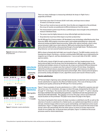

**Figure e 6:** Schematic of Backscatter Drop D Detection



**Figure e 7**: Schematic: no zzle substitution

There are many challenges to measuring individual ink drops in-flight from a pa agewide printhe ead:

- Each drop is less than 25 microns (0.001 inch) wide, and drops move at about 10 meters (33 feet) per second.
- There are four nozzle arrays on each die. Since the dies are staggered on the printhead, the arrays of nozzles are positioned at different distances from the sensor.
- the arrays of nozzles are positioned at different distances from the sensor.<br>The measurement system must fit into a confined space close enough to the printhead to measure individual drops.
- . The sensor must be highly immune to stray reflected light and electrical noise.
- Drop detection must have little impact on printer productivity.<sup>7</sup>

For HP Officejet Pro X Series printers, HP developed a new technology called Backscatter Drop Detection (BDD). BDD employs innovative optics and multiple photodetectors along with advanced analog and digital signal processing. Unlike other optical methods, where a drop passes between a light source and a detector, BDD works by detecting the light that is backscattered (reflected) by a drop passing through a focused light beam. The Backscatter Drop Detector can test several hundred nozzles per second.

BDD is shown schematically (with light rays traced) in Figure 6. The BDD module consists of a housing (not shown), five lenses, a surface-emitting diode (SED) light source indicated by the magenta rays in Figure 6, and four photodetectors—two on each side of the SED—behind ap perture plates.

The SED emits a beam of light through a projection lens, and four imaging lenses focus backscattered light from the drops onto the photodetectors. With staggered dies on the printhead and multiple columns of nozzles per die, drops are emitted at different distances from the detectors in a sample zone that is about 0.4 inches (10 mm) deep. A backplane behind the printhead reduces unwanted reflections of light, which improves its ability to detect the very weak signal produced by backscattered light. After a backscattered signal is processed by analog and digital circuits, algorithms assess each nozzle's fitness to print.

#### **Nozzle substitution**

HP Thermal Inkjet's high drop rates and high nozzle density provide both active and passive nozzle substitution to suppress the effects of failed nozzles. This is one of the keys to the excellent print quality achieved by HP Officejet Pro X Series printers.

Figure 7 shows examples of nozzle substitution in a 1,200 x 1,200 grid for a passive case and two active cases. For orientation, dot <u>rows</u> run down this page, designated by the letters "a" through "h" in this figure. The nozzles out in this example are "b" and "e", "f", and "g", shown by the empty small black dots representing drop generators. Good black and color drop generators are shown by the small colored dots. Dot columns run across this page, and are associated with nozzle locations on the printhead. The paper moves down the page in this figure.

The choice of grid points that receive ink drops to produce a solid black area fill, as well as the selection of nozzles to substitute for a failed nozzle, use sophisticated algorithms to control in k load, minimiz e image artifac ts (such as grai n and banding), , and implemen t active nozzle substitution. Figure 7 is highly schematic and doesn't take into account the full extent of dot spread, which will substantially fill in the white spaces as shown to further improve the results of error hiding. But, to illustrate basic principles, Figure 7 is faithful to the actual processes used for nozzle substitution.

7 Drop detection is typically done while the printer is idle, and the process can be interrupted by a print job.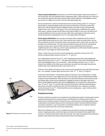**Passive nozzle substitution** makes direct use of HP Thermal Inkjet's high nozzle density: if one nozzle fails, the surrounding nozzles compensate. With 1,200 nozzles per inch, there are two nozzles for each ink color that can print within a 600 x 600 grid, $\frac{8}{3}$  and neighbor nozzles are at most 1/1,200th of an inch (21 um) from the affected dot row.

Passive substitution is shown schematically for the nozzle printing column "b" in Figure 7. Nozzle failure could potentially produce the white streak shown in the lower half of the figure. But, with ink spread from the neighboring dots, the white streak is substantially smaller than a full 1,200 x 1,200 square. In fact, dot spread may completely close up the white space, making a single nozzle failure practically invisible. In any case, this defect will usually be difficult to see in normal-size text. After this nozzle failure is detected, active nozzle substitution is employed for row "b" in the upper half of the figure.

**Active nozzle substitution** uses a nozzle-out lookup table compiled from the results of several BDD measurements over time. Some nozzles may remain out while others recover after printhead servicing. The lookup table is processed to select nozzles that can take over printing from a failed nozzle. This may require double the drop rate from the substituting nozzles. In some cases, drops of other ink colors can be substituted in the same and neighboring dot rows. In this way, active nozzle substitution can effectively handle situations where two or more adjacent nozzles have failed.

Figure 7 shows two cases of active nozzle substitution: one black nozzle out (row "b") and three adjacent black nozzles out (rows "e", "f", and "g").

For a single black nozzle out in row "b", active substitution prints dots using neighboring black nozzles from rows "a" and "c". The upper half of Figure 7 shows this schematically with black dots highlighted here by a red outline. Alternating dots between rows "a" and "c" reduces the visibility of the white space and breaks up a dark line that might otherwise be visible if dots were substituted only on one side of row "b".

If three or more adjacent nozzles are out, active nozzle substitution uses both black and color inks. For example, consider black nozzles out in rows "e", "f", and "g" in Figure 7.

In the lower half of Figure 7, having three adjacent empty dot rows could produce a visible white streak as shown. Three adjacent dot rows are too large a gap to be effectively handled by passive nozzle substitution. After the failures are detected and processed into the nozzleout lookup table, active nozzle substitution is applied as shown in the upper half of the figure. Good neighboring black dots (shown highlighted by a red outline) are substituted in rows "d" and "h". Row "f" is printed with composite black dots, indicated schematically by dots with a red outline and dark gray fill, from the printhead's cyan, magenta, and yellow nozzles that print in row "f". (The printed dots are not actually gray – gray is shown only for the purpose of illustration.)

#### **Printhead servicing**

Periodic printhead servicing is an essential part of reliable print quality. It keeps good nozzles working and may be able to recover bad ones. HP Officejet Pro X Series printers feature a built-in service station cassette<sup>9</sup> that performs four key functions: printhead capping, nozzle conditioning, nozzle plate wiping, and ink containment used for servicing. While printhead servicing is automatic, a user may initiate a printhead cleaning cycle, if required. Figure 8 shows the cassette and calls out the key components.

When the printhead is not in use, it is capped to prevent ink from drying and clogging the nozzles. Capping provides a humid storage environment that keeps the inks liquid in the nozzles at a viscosity that allows drops to be ejected. The cap presses against the printhead's stainless steel shroud and seals around the dies without touching them.



**Figure 8**: Printhead service station cassette

8 For example, a 600 x 600 dpi print mode.

9 The service station cassette is designed for the life of the printer and is not user replaceable.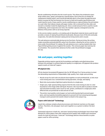Nozzle conditioning refreshes the ink in each nozzle. This allows the printhead to eject drops within mass, speed, and trajectory specifications. Due to the loss of volatile ink co omponents (ma inly water), eac h nozzle period dically ejects a f ew drops throu gh the print platen to purge ink that has become too viscous to meet print quality specifications and could clog the nozzle. Drops used for nozzle conditioning are captured below the print platen on a spit roller that indexes slowly with paper motion. Ink is removed from this roller and stored in a chamber inside the duplexing unit. Since a small amount of ink is used for nozzle conditioning, and it evaporates over time, the chamber capacity is designed to last the lifetime of the printer with no servicing required.

In the service station cassette, a circulating web of absorbent material stores used ink and provides a means of wiping the printhead nozzle plate. Because most of this ink eventually evaporates, the web dries between wiping and servicing events and is reused.

evaporates, the web dries between wiping and servicing events and is reused.<br>The web advances automatically during service functions. During servicing, the writing engine assembly automatically lifts away from the platen, allowing the service station to move under the printhead. For wiping, the web advances over a spring-loaded roller (see Figure 8) that gently presses it against the nozzles. This removes paper dust and any ink accumulation. The cassette then advances further under the printhead to engage th he cap.

# **lnk and paper, working together**

Pagewide printing requires special ink formulations and highly controlled interactions between ink and paper to achieve high print quality in a single pass. HP pigment inks produce superb results on ColorLok® papers.

#### **H P pigment ink ks**

HP ink chemists formulated HP pigment inks for HP Officejet Pro X Series printers to meet the demanding requirements of dependable, high-quality, fast, single-pass printing:

- Nozzle arrays for each color are placed close together on each printhead die, so inks must resist mixing and cross-contamination during operation, storage, and wiping.
- Black inks must produce high black optical density in a single pass.
- Single-pass, high-speed printing requires that the inks resist mixing at color-to-color boundaries in the image while still liquid. However, inks must be able to produce smooth and saturated secondary colors (such as reds, greens, and blues) in a single pass when different inks are printed dot on dot and wet on wet.
- The printer must quickly control paper curl and cockle (puckering) to prevent paper jams, and must quickly immobilize pigments to prevent ink from smearing during paper transport and to prevent ink transfer (sheet to sheet) in the output tray.



#### **Pa apers with Co lorLok® Techn nology**

Liquid inks undergo complex physical processes and chemical reactions on the paper surface. Therefore, ink and paper must work together as a system to deliver the best re esults.

Substantial advances in both ink- and toner-based printing technologies have driven high demand for office papers that offer enhanced print quality with reliable and consistent results for both ink and toner. ColorLok® Technology delivers these benefits on plain papers used for office printing.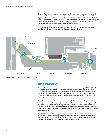ColorLok® papers have special additives to rapidly separate pigments from the ink and immobilize them on the paper surface. For ink-based printing, ColorLok® papers deliver higher print quality with bolder, darker blacks, and richer, more vibrant colors. Ink dries faster, which means pages can be handled without smearing right from the output tray. All these benefits also apply for recycled papers with ColorLok® Technology. ColorLok® papers are available worldwide from leading paper suppliers.

HP recommends ColorLok® papers for best printing results. To learn more about the benefits of ColorLok® Technology, visit http://www.colorlok.com.



**Figure 9**: Cross-section of the paper transport system

# **M Moving the e paper**

To compete with color laser printers in small workteam environments, HP Officejet Pro X Series printers need a compact, reliable paper transport that produces fast, face-down, correct-order output with built-in duplexing. HP designed a new paper transport to meet the needs of pagewide array printing. Figure 9 shows a cross-sectional view of the key components. A single sheet of paper, shown by the green arrow, moves from right to left in th his view.

A sheet printed o n one side (simp plex) moves up against the lef t door guide, cr osses the writing system assembly (Figure 3), and exits face down to the output bin. A duplex-printed sh heet moves up a against the left door guide, the en reverses and passes under t he duplexing unit (not shown), following the same path taken by sheets coming from the multipurpose tray (tray 1). This design efficiently integrates duplexing and multipurpose tray functionality in to the paper pa th.

The HP Officejet Pro X Series paper transport effectively stabilizes and constrains the sh heet through th e printer from p pick to drop. It d delivers reliable e paper pick, low w jam rates, and continuous and accurate movement of the paper in the print zone. Sheets are printed, duplexed, and delivered to the output tray without smearing ink.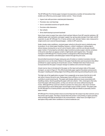The HP Officejet Pro X Series paper transport incorporates a number of innovations that enable cost-effective, precise paper motion control. These include:

- A gear train with precision-matched pitch diameters
- Precision, low-cost bearings
- Servo-controlled overdrive of specific rollers
- Precision roller diameters
- Star wheels
- Drive shaft biasing to prevent backlash

Users have come to expect low rates of pick and jam failures from HP LaserJet solutions. HP adapted paper pick mechanics and paper supply tray spring-plate designs from high-end HP LaserJets to give HP Officejet Pro X Series printers pick and jam failure rates measured in single events over several thousand pages—similar to HP LaserJets.

Under steady-state conditions, constant paper velocity in the print zone is relatively easy to produce. In cut-sheet paper handling, however, a sheet's leading or trailing edge is almost always moving into or out of a set of elastic rollers, and this can disrupt smooth paper motion. If not properly controlled, edge transitions produce paper velocity variations in the print zone that can appear as dark or light bands and irregular lines. The paper transport in HP Officejet Pro X Series printers is designed to effectively handle edge transitions and maintain controlled paper motion through the print zone.

Uncontrolled movement of paper along any axis of motion or rotation translates into dot placement errors on the sheet. Motion in the paper feed direction and movements that affect printhead-to-paper spacing are of particular concern. Multiple hold-down features are incorporated into the paper transport design to stabilize and constrain the paper.

A dual reverse-bow is introduced in the paper on the input and output sides of the paper transport, as seen in Figure 9. This effectively holds paper against the platen and prevents the paper's leading and trailing edges from lifting while entering and exiting the print zone.

The high rate of ink application on paper from a pagewide array means that the ink is still wet when it leaves the print zone. Damp paper loses stiffness, so it must be handled carefully to avoid smearing ink. The paper path design addresses issues associated with handling a damp sheet by guiding the paper with star wheels—thin, metal gears that only touch the paper with sharp points, so they can roll over wet areas without leaving ink tracks. Although HP has used star wheels in printers for many years, they have not been used extensively to drive damp paper around tight corners inside a printer. The paper path for HP Officejet Pro X Series printers uses more than 300 star wheels to precisely control paper motion.

HP Officejet Pro X Series printers have an active flap near the output tray that controls curl as the printer ejects paper. The flap is closed when the printer is not printing. It opens partially when printing with high ink densities in dry environments—when more curl might occur and opens fully under other conditions to control moderate curl.